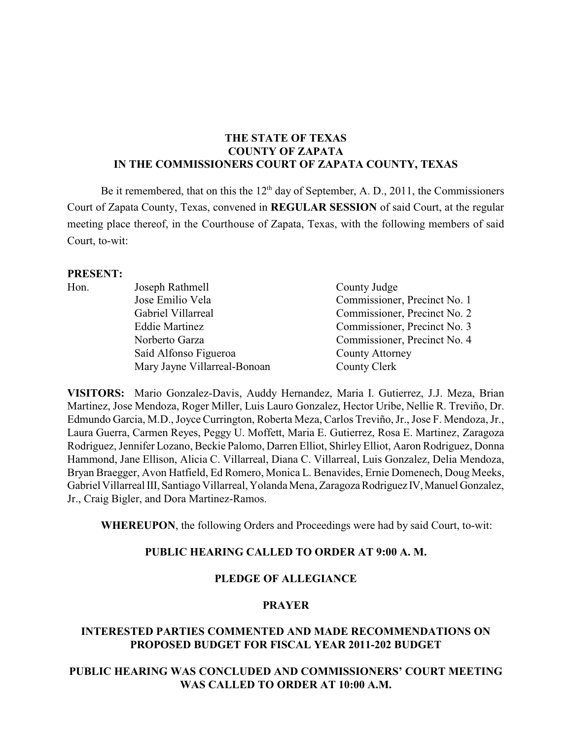## **THE STATE OF TEXAS COUNTY OF ZAPATA IN THE COMMISSIONERS COURT OF ZAPATA COUNTY, TEXAS**

Be it remembered, that on this the  $12<sup>th</sup>$  day of September, A. D., 2011, the Commissioners Court of Zapata County, Texas, convened in **REGULAR SESSION** of said Court, at the regular meeting place thereof, in the Courthouse of Zapata, Texas, with the following members of said Court, to-wit:

#### **PRESENT:**

| Hon. | Joseph Rathmell              | County Judge                 |
|------|------------------------------|------------------------------|
|      | Jose Emilio Vela             | Commissioner, Precinct No. 1 |
|      | Gabriel Villarreal           | Commissioner, Precinct No. 2 |
|      | <b>Eddie Martinez</b>        | Commissioner, Precinct No. 3 |
|      | Norberto Garza               | Commissioner, Precinct No. 4 |
|      | Saíd Alfonso Figueroa        | County Attorney              |
|      | Mary Jayne Villarreal-Bonoan | County Clerk                 |

**VISITORS:** Mario Gonzalez-Davis, Auddy Hernandez, Maria I. Gutierrez, J.J. Meza, Brian Martinez, Jose Mendoza, Roger Miller, Luis Lauro Gonzalez, Hector Uribe, Nellie R. Treviño, Dr. Edmundo Garcia, M.D., Joyce Currington, Roberta Meza, Carlos Treviño, Jr., Jose F. Mendoza, Jr., Laura Guerra, Carmen Reyes, Peggy U. Moffett, Maria E. Gutierrez, Rosa E. Martinez, Zaragoza Rodriguez, Jennifer Lozano, Beckie Palomo, Darren Elliot, Shirley Elliot, Aaron Rodriguez, Donna Hammond, Jane Ellison, Alicia C. Villarreal, Diana C. Villarreal, Luis Gonzalez, Delia Mendoza, Bryan Braegger, Avon Hatfield, Ed Romero, Monica L. Benavides, Ernie Domenech, Doug Meeks, Gabriel Villarreal III, Santiago Villarreal, Yolanda Mena, Zaragoza Rodriguez IV, Manuel Gonzalez, Jr., Craig Bigler, and Dora Martinez-Ramos.

**WHEREUPON**, the following Orders and Proceedings were had by said Court, to-wit:

# **PUBLIC HEARING CALLED TO ORDER AT 9:00 A. M.**

# **PLEDGE OF ALLEGIANCE**

#### **PRAYER**

#### **INTERESTED PARTIES COMMENTED AND MADE RECOMMENDATIONS ON PROPOSED BUDGET FOR FISCAL YEAR 2011-202 BUDGET**

# **PUBLIC HEARING WAS CONCLUDED AND COMMISSIONERS' COURT MEETING WAS CALLED TO ORDER AT 10:00 A.M.**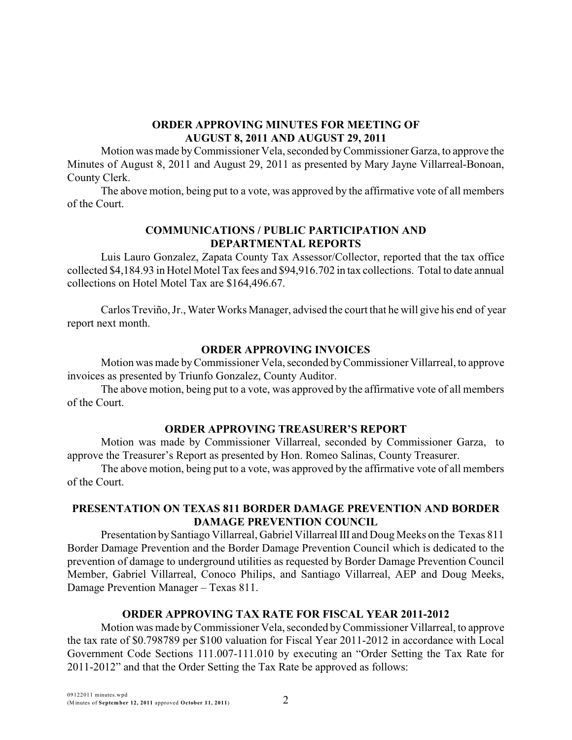## **ORDER APPROVING MINUTES FOR MEETING OF AUGUST 8, 2011 AND AUGUST 29, 2011**

Motion was made byCommissioner Vela, seconded byCommissioner Garza, to approve the Minutes of August 8, 2011 and August 29, 2011 as presented by Mary Jayne Villarreal-Bonoan, County Clerk.

The above motion, being put to a vote, was approved by the affirmative vote of all members of the Court.

# **COMMUNICATIONS / PUBLIC PARTICIPATION AND DEPARTMENTAL REPORTS**

Luis Lauro Gonzalez, Zapata County Tax Assessor/Collector, reported that the tax office collected \$4,184.93 in Hotel Motel Tax fees and \$94,916.702 in tax collections. Total to date annual collections on Hotel Motel Tax are \$164,496.67.

Carlos Treviño, Jr., Water Works Manager, advised the court that he will give his end of year report next month.

# **ORDER APPROVING INVOICES**

Motion was made byCommissioner Vela, seconded byCommissioner Villarreal, to approve invoices as presented by Triunfo Gonzalez, County Auditor.

The above motion, being put to a vote, was approved by the affirmative vote of all members of the Court.

# **ORDER APPROVING TREASURER'S REPORT**

Motion was made by Commissioner Villarreal, seconded by Commissioner Garza, to approve the Treasurer's Report as presented by Hon. Romeo Salinas, County Treasurer.

The above motion, being put to a vote, was approved by the affirmative vote of all members of the Court.

# **PRESENTATION ON TEXAS 811 BORDER DAMAGE PREVENTION AND BORDER DAMAGE PREVENTION COUNCIL**

Presentation bySantiago Villarreal, Gabriel Villarreal III and Doug Meeks on the Texas 811 Border Damage Prevention and the Border Damage Prevention Council which is dedicated to the prevention of damage to underground utilities as requested by Border Damage Prevention Council Member, Gabriel Villarreal, Conoco Philips, and Santiago Villarreal, AEP and Doug Meeks, Damage Prevention Manager – Texas 811.

# **ORDER APPROVING TAX RATE FOR FISCAL YEAR 2011-2012**

Motion was made byCommissioner Vela, seconded byCommissioner Villarreal, to approve the tax rate of \$0.798789 per \$100 valuation for Fiscal Year 2011-2012 in accordance with Local Government Code Sections 111.007-111.010 by executing an "Order Setting the Tax Rate for 2011-2012" and that the Order Setting the Tax Rate be approved as follows: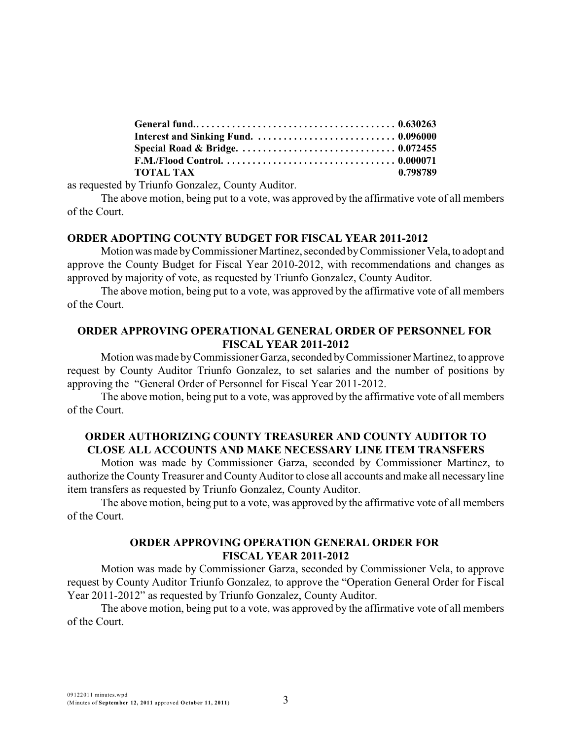| <b>TOTAL TAX</b> | 0.798789 |
|------------------|----------|

as requested by Triunfo Gonzalez, County Auditor.

The above motion, being put to a vote, was approved by the affirmative vote of all members of the Court.

#### **ORDER ADOPTING COUNTY BUDGET FOR FISCAL YEAR 2011-2012**

Motionwasmade byCommissioner Martinez, seconded byCommissioner Vela, to adopt and approve the County Budget for Fiscal Year 2010-2012, with recommendations and changes as approved by majority of vote, as requested by Triunfo Gonzalez, County Auditor.

The above motion, being put to a vote, was approved by the affirmative vote of all members of the Court.

#### **ORDER APPROVING OPERATIONAL GENERAL ORDER OF PERSONNEL FOR FISCAL YEAR 2011-2012**

Motion was made byCommissioner Garza, seconded byCommissioner Martinez, to approve request by County Auditor Triunfo Gonzalez, to set salaries and the number of positions by approving the "General Order of Personnel for Fiscal Year 2011-2012.

The above motion, being put to a vote, was approved by the affirmative vote of all members of the Court.

# **ORDER AUTHORIZING COUNTY TREASURER AND COUNTY AUDITOR TO CLOSE ALL ACCOUNTS AND MAKE NECESSARY LINE ITEM TRANSFERS**

Motion was made by Commissioner Garza, seconded by Commissioner Martinez, to authorize the County Treasurer and County Auditor to close all accounts and make all necessary line item transfers as requested by Triunfo Gonzalez, County Auditor.

The above motion, being put to a vote, was approved by the affirmative vote of all members of the Court.

# **ORDER APPROVING OPERATION GENERAL ORDER FOR FISCAL YEAR 2011-2012**

Motion was made by Commissioner Garza, seconded by Commissioner Vela, to approve request by County Auditor Triunfo Gonzalez, to approve the "Operation General Order for Fiscal Year 2011-2012" as requested by Triunfo Gonzalez, County Auditor.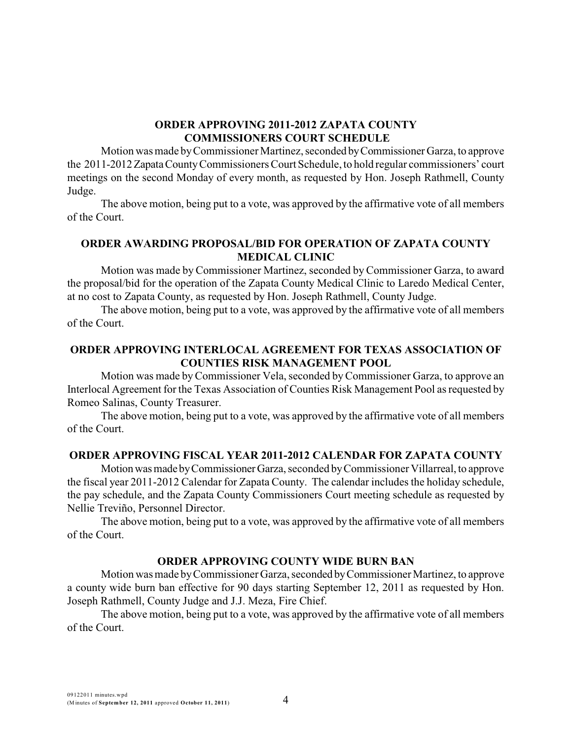#### **ORDER APPROVING 2011-2012 ZAPATA COUNTY COMMISSIONERS COURT SCHEDULE**

Motion was made byCommissioner Martinez, seconded byCommissioner Garza, to approve the 2011-2012ZapataCountyCommissioners Court Schedule, to hold regular commissioners' court meetings on the second Monday of every month, as requested by Hon. Joseph Rathmell, County Judge.

The above motion, being put to a vote, was approved by the affirmative vote of all members of the Court.

## **ORDER AWARDING PROPOSAL/BID FOR OPERATION OF ZAPATA COUNTY MEDICAL CLINIC**

Motion was made by Commissioner Martinez, seconded by Commissioner Garza, to award the proposal/bid for the operation of the Zapata County Medical Clinic to Laredo Medical Center, at no cost to Zapata County, as requested by Hon. Joseph Rathmell, County Judge.

The above motion, being put to a vote, was approved by the affirmative vote of all members of the Court.

# **ORDER APPROVING INTERLOCAL AGREEMENT FOR TEXAS ASSOCIATION OF COUNTIES RISK MANAGEMENT POOL**

Motion was made byCommissioner Vela, seconded byCommissioner Garza, to approve an Interlocal Agreement for the Texas Association of Counties Risk Management Pool as requested by Romeo Salinas, County Treasurer.

The above motion, being put to a vote, was approved by the affirmative vote of all members of the Court.

#### **ORDER APPROVING FISCAL YEAR 2011-2012 CALENDAR FOR ZAPATA COUNTY**

Motionwasmade byCommissionerGarza, seconded byCommissioner Villarreal, to approve the fiscal year 2011-2012 Calendar for Zapata County. The calendar includes the holiday schedule, the pay schedule, and the Zapata County Commissioners Court meeting schedule as requested by Nellie Treviño, Personnel Director.

The above motion, being put to a vote, was approved by the affirmative vote of all members of the Court.

#### **ORDER APPROVING COUNTY WIDE BURN BAN**

Motion was made byCommissioner Garza, seconded byCommissioner Martinez, to approve a county wide burn ban effective for 90 days starting September 12, 2011 as requested by Hon. Joseph Rathmell, County Judge and J.J. Meza, Fire Chief.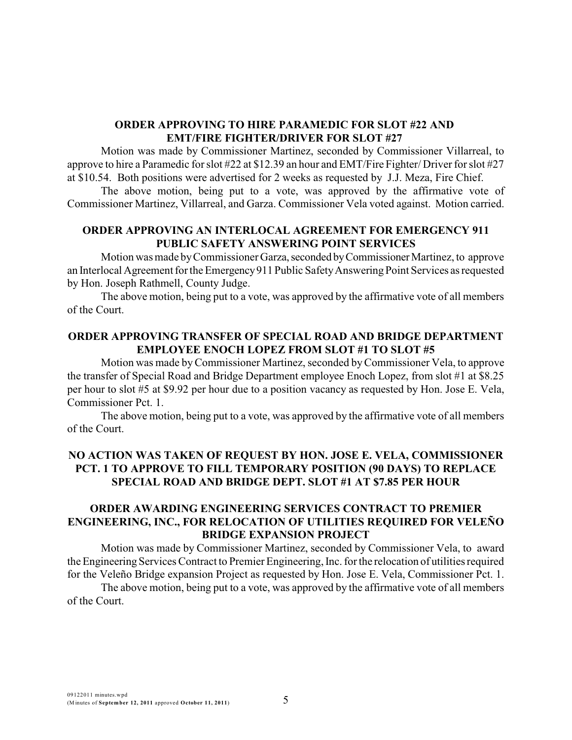#### **ORDER APPROVING TO HIRE PARAMEDIC FOR SLOT #22 AND EMT/FIRE FIGHTER/DRIVER FOR SLOT #27**

Motion was made by Commissioner Martinez, seconded by Commissioner Villarreal, to approve to hire a Paramedic for slot #22 at \$12.39 an hour and EMT/Fire Fighter/ Driver for slot #27 at \$10.54. Both positions were advertised for 2 weeks as requested by J.J. Meza, Fire Chief.

The above motion, being put to a vote, was approved by the affirmative vote of Commissioner Martinez, Villarreal, and Garza. Commissioner Vela voted against. Motion carried.

## **ORDER APPROVING AN INTERLOCAL AGREEMENT FOR EMERGENCY 911 PUBLIC SAFETY ANSWERING POINT SERVICES**

Motion was made by Commissioner Garza, seconded by Commissioner Martinez, to approve an Interlocal Agreement for the Emergency 911 Public Safety Answering Point Services as requested by Hon. Joseph Rathmell, County Judge.

The above motion, being put to a vote, was approved by the affirmative vote of all members of the Court.

# **ORDER APPROVING TRANSFER OF SPECIAL ROAD AND BRIDGE DEPARTMENT EMPLOYEE ENOCH LOPEZ FROM SLOT #1 TO SLOT #5**

Motion was made byCommissioner Martinez, seconded byCommissioner Vela, to approve the transfer of Special Road and Bridge Department employee Enoch Lopez, from slot #1 at \$8.25 per hour to slot #5 at \$9.92 per hour due to a position vacancy as requested by Hon. Jose E. Vela, Commissioner Pct. 1.

The above motion, being put to a vote, was approved by the affirmative vote of all members of the Court.

## **NO ACTION WAS TAKEN OF REQUEST BY HON. JOSE E. VELA, COMMISSIONER PCT. 1 TO APPROVE TO FILL TEMPORARY POSITION (90 DAYS) TO REPLACE SPECIAL ROAD AND BRIDGE DEPT. SLOT #1 AT \$7.85 PER HOUR**

### **ORDER AWARDING ENGINEERING SERVICES CONTRACT TO PREMIER ENGINEERING, INC., FOR RELOCATION OF UTILITIES REQUIRED FOR VELEÑO BRIDGE EXPANSION PROJECT**

Motion was made by Commissioner Martinez, seconded by Commissioner Vela, to award the Engineering Services Contract to Premier Engineering, Inc. for the relocation of utilities required for the Veleño Bridge expansion Project as requested by Hon. Jose E. Vela, Commissioner Pct. 1.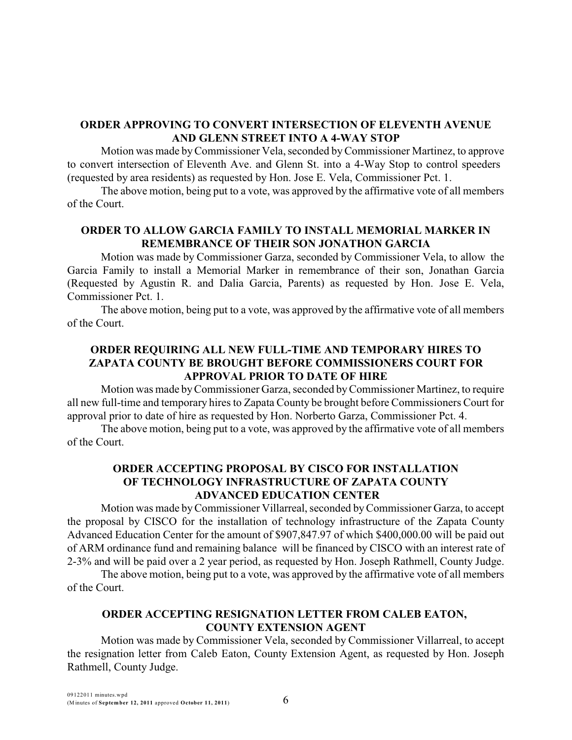### **ORDER APPROVING TO CONVERT INTERSECTION OF ELEVENTH AVENUE AND GLENN STREET INTO A 4-WAY STOP**

Motion was made byCommissioner Vela, seconded byCommissioner Martinez, to approve to convert intersection of Eleventh Ave. and Glenn St. into a 4-Way Stop to control speeders (requested by area residents) as requested by Hon. Jose E. Vela, Commissioner Pct. 1.

The above motion, being put to a vote, was approved by the affirmative vote of all members of the Court.

# **ORDER TO ALLOW GARCIA FAMILY TO INSTALL MEMORIAL MARKER IN REMEMBRANCE OF THEIR SON JONATHON GARCIA**

Motion was made by Commissioner Garza, seconded by Commissioner Vela, to allow the Garcia Family to install a Memorial Marker in remembrance of their son, Jonathan Garcia (Requested by Agustin R. and Dalia Garcia, Parents) as requested by Hon. Jose E. Vela, Commissioner Pct. 1.

The above motion, being put to a vote, was approved by the affirmative vote of all members of the Court.

# **ORDER REQUIRING ALL NEW FULL-TIME AND TEMPORARY HIRES TO ZAPATA COUNTY BE BROUGHT BEFORE COMMISSIONERS COURT FOR APPROVAL PRIOR TO DATE OF HIRE**

Motion was made byCommissioner Garza, seconded byCommissioner Martinez, to require all new full-time and temporary hires to Zapata County be brought before Commissioners Court for approval prior to date of hire as requested by Hon. Norberto Garza, Commissioner Pct. 4.

The above motion, being put to a vote, was approved by the affirmative vote of all members of the Court.

# **ORDER ACCEPTING PROPOSAL BY CISCO FOR INSTALLATION OF TECHNOLOGY INFRASTRUCTURE OF ZAPATA COUNTY ADVANCED EDUCATION CENTER**

Motion was made byCommissioner Villarreal, seconded byCommissioner Garza, to accept the proposal by CISCO for the installation of technology infrastructure of the Zapata County Advanced Education Center for the amount of \$907,847.97 of which \$400,000.00 will be paid out of ARM ordinance fund and remaining balance will be financed by CISCO with an interest rate of 2-3% and will be paid over a 2 year period, as requested by Hon. Joseph Rathmell, County Judge.

The above motion, being put to a vote, was approved by the affirmative vote of all members of the Court.

# **ORDER ACCEPTING RESIGNATION LETTER FROM CALEB EATON, COUNTY EXTENSION AGENT**

Motion was made by Commissioner Vela, seconded by Commissioner Villarreal, to accept the resignation letter from Caleb Eaton, County Extension Agent, as requested by Hon. Joseph Rathmell, County Judge.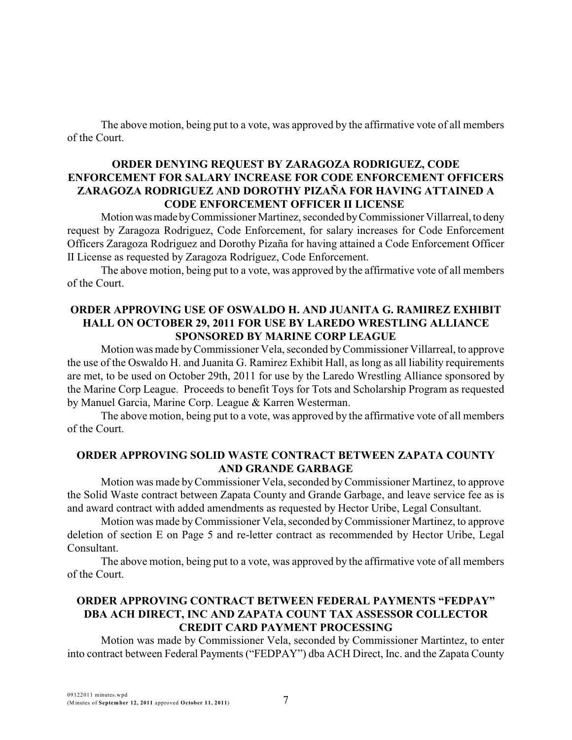The above motion, being put to a vote, was approved by the affirmative vote of all members of the Court.

#### **ORDER DENYING REQUEST BY ZARAGOZA RODRIGUEZ, CODE ENFORCEMENT FOR SALARY INCREASE FOR CODE ENFORCEMENT OFFICERS ZARAGOZA RODRIGUEZ AND DOROTHY PIZAÑA FOR HAVING ATTAINED A CODE ENFORCEMENT OFFICER II LICENSE**

Motion was made by Commissioner Martinez, seconded by Commissioner Villarreal, to deny request by Zaragoza Rodriguez, Code Enforcement, for salary increases for Code Enforcement Officers Zaragoza Rodriguez and Dorothy Pizaña for having attained a Code Enforcement Officer II License as requested by Zaragoza Rodríguez, Code Enforcement.

The above motion, being put to a vote, was approved by the affirmative vote of all members of the Court.

#### **ORDER APPROVING USE OF OSWALDO H. AND JUANITA G. RAMIREZ EXHIBIT HALL ON OCTOBER 29, 2011 FOR USE BY LAREDO WRESTLING ALLIANCE SPONSORED BY MARINE CORP LEAGUE**

Motion was made byCommissioner Vela, seconded byCommissioner Villarreal, to approve the use of the Oswaldo H. and Juanita G. Ramirez Exhibit Hall, as long as all liability requirements are met, to be used on October 29th, 2011 for use by the Laredo Wrestling Alliance sponsored by the Marine Corp League. Proceeds to benefit Toys for Tots and Scholarship Program as requested by Manuel Garcia, Marine Corp. League & Karren Westerman.

The above motion, being put to a vote, was approved by the affirmative vote of all members of the Court.

#### **ORDER APPROVING SOLID WASTE CONTRACT BETWEEN ZAPATA COUNTY AND GRANDE GARBAGE**

Motion was made byCommissioner Vela, seconded byCommissioner Martinez, to approve the Solid Waste contract between Zapata County and Grande Garbage, and leave service fee as is and award contract with added amendments as requested by Hector Uribe, Legal Consultant.

Motion was made byCommissioner Vela, seconded byCommissioner Martinez, to approve deletion of section E on Page 5 and re-letter contract as recommended by Hector Uribe, Legal Consultant.

The above motion, being put to a vote, was approved by the affirmative vote of all members of the Court.

# **ORDER APPROVING CONTRACT BETWEEN FEDERAL PAYMENTS "FEDPAY" DBA ACH DIRECT, INC AND ZAPATA COUNT TAX ASSESSOR COLLECTOR CREDIT CARD PAYMENT PROCESSING**

Motion was made by Commissioner Vela, seconded by Commissioner Martintez, to enter into contract between Federal Payments ("FEDPAY") dba ACH Direct, Inc. and the Zapata County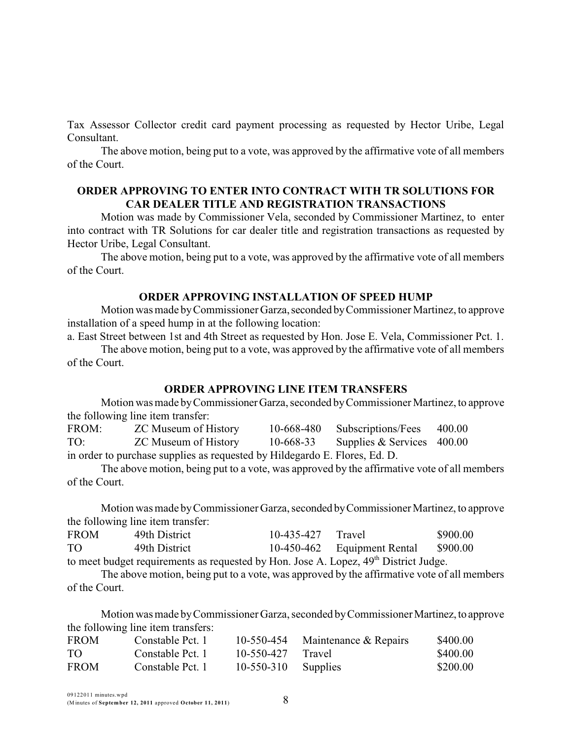Tax Assessor Collector credit card payment processing as requested by Hector Uribe, Legal Consultant.

The above motion, being put to a vote, was approved by the affirmative vote of all members of the Court.

#### **ORDER APPROVING TO ENTER INTO CONTRACT WITH TR SOLUTIONS FOR CAR DEALER TITLE AND REGISTRATION TRANSACTIONS**

Motion was made by Commissioner Vela, seconded by Commissioner Martinez, to enter into contract with TR Solutions for car dealer title and registration transactions as requested by Hector Uribe, Legal Consultant.

The above motion, being put to a vote, was approved by the affirmative vote of all members of the Court.

#### **ORDER APPROVING INSTALLATION OF SPEED HUMP**

Motion was made byCommissioner Garza,seconded byCommissioner Martinez, to approve installation of a speed hump in at the following location:

a. East Street between 1st and 4th Street as requested by Hon. Jose E. Vela, Commissioner Pct. 1.

The above motion, being put to a vote, was approved by the affirmative vote of all members of the Court.

#### **ORDER APPROVING LINE ITEM TRANSFERS**

Motion was made byCommissionerGarza, seconded byCommissioner Martinez, to approve the following line item transfer:

FROM: ZC Museum of History 10-668-480 Subscriptions/Fees 400.00 TO: ZC Museum of History 10-668-33 Supplies & Services 400.00 in order to purchase supplies as requested by Hildegardo E. Flores, Ed. D.

The above motion, being put to a vote, was approved by the affirmative vote of all members of the Court.

Motion was made by Commissioner Garza, seconded by Commissioner Martinez, to approve the following line item transfer:

| <b>FROM</b>                                                                          | 49th District | 10-435-427 Travel |                             | \$900.00 |  |
|--------------------------------------------------------------------------------------|---------------|-------------------|-----------------------------|----------|--|
| TO.                                                                                  | 49th District |                   | 10-450-462 Equipment Rental | \$900.00 |  |
| to meet budget requirements as requested by Hon. Jose A. Lopez, 49th District Judge. |               |                   |                             |          |  |

The above motion, being put to a vote, was approved by the affirmative vote of all members of the Court.

Motion was made byCommissioner Garza, seconded byCommissionerMartinez,to approve the following line item transfers:

| <b>FROM</b> | Constable Pct. 1 |                     | 10-550-454 Maintenance $&$ Repairs | \$400.00 |
|-------------|------------------|---------------------|------------------------------------|----------|
| TO.         | Constable Pct. 1 | $10-550-427$ Travel |                                    | \$400.00 |
| <b>FROM</b> | Constable Pct. 1 | 10-550-310          | Supplies                           | \$200.00 |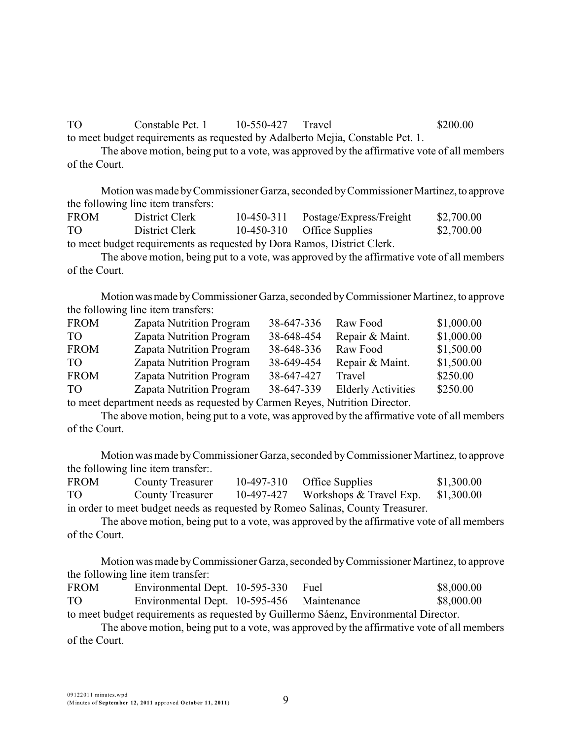TO Constable Pct. 1 10-550-427 Travel \$200.00

to meet budget requirements as requested by Adalberto Mejia, Constable Pct. 1.

The above motion, being put to a vote, was approved by the affirmative vote of all members of the Court.

Motion was made byCommissioner Garza, seconded byCommissioner Martinez,to approve the following line item transfers:

| <b>FROM</b>                                                            | District Clerk |  | 10-450-311 Postage/Express/Freight | \$2,700.00 |  |
|------------------------------------------------------------------------|----------------|--|------------------------------------|------------|--|
| TO                                                                     | District Clerk |  | 10-450-310 Office Supplies         | \$2,700.00 |  |
| to most hudget requirements as requested by Dore Damos, District Clark |                |  |                                    |            |  |

to meet budget requirements as requested by Dora Ramos, District Clerk.

The above motion, being put to a vote, was approved by the affirmative vote of all members of the Court.

Motion was made by Commissioner Garza, seconded by Commissioner Martinez, to approve the following line item transfers:

| <b>FROM</b>     | Zapata Nutrition Program        | 38-647-336 | Raw Food                  | \$1,000.00 |
|-----------------|---------------------------------|------------|---------------------------|------------|
| TO <sub>1</sub> | Zapata Nutrition Program        | 38-648-454 | Repair & Maint.           | \$1,000.00 |
| <b>FROM</b>     | <b>Zapata Nutrition Program</b> | 38-648-336 | Raw Food                  | \$1,500.00 |
| TO <sub>1</sub> | <b>Zapata Nutrition Program</b> | 38-649-454 | Repair & Maint.           | \$1,500.00 |
| <b>FROM</b>     | <b>Zapata Nutrition Program</b> | 38-647-427 | Travel                    | \$250.00   |
| TO <sub>1</sub> | <b>Zapata Nutrition Program</b> | 38-647-339 | <b>Elderly Activities</b> | \$250.00   |

to meet department needs as requested by Carmen Reyes, Nutrition Director.

The above motion, being put to a vote, was approved by the affirmative vote of all members of the Court.

Motion was made byCommissioner Garza, seconded byCommissioner Martinez, to approve the following line item transfer:.

| <b>FROM</b>                                                                    | <b>County Treasurer</b> |  | $10-497-310$ Office Supplies                   | \$1,300.00 |  |
|--------------------------------------------------------------------------------|-------------------------|--|------------------------------------------------|------------|--|
| TO                                                                             | <b>County Treasurer</b> |  | 10-497-427 Workshops & Travel Exp. $$1,300.00$ |            |  |
| in order to meet budget needs as requested by Romeo Salinas, County Treasurer. |                         |  |                                                |            |  |

The above motion, being put to a vote, was approved by the affirmative vote of all members of the Court.

Motion was made byCommissioner Garza, seconded byCommissioner Martinez, to approve the following line item transfer:

| <b>FROM</b>                                                                          | Environmental Dept. 10-595-330             |  | Fuel | \$8,000.00 |  |
|--------------------------------------------------------------------------------------|--------------------------------------------|--|------|------------|--|
| TO                                                                                   | Environmental Dept. 10-595-456 Maintenance |  |      | \$8,000.00 |  |
| to meet budget requirements as requested by Guillermo Sáenz, Environmental Director. |                                            |  |      |            |  |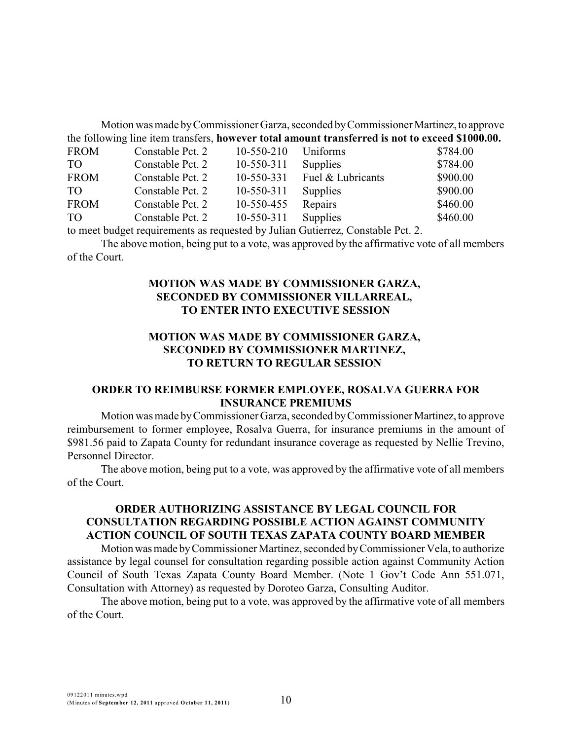Motion was made byCommissioner Garza, seconded byCommissioner Martinez,to approve the following line item transfers, **however total amount transferred is not to exceed \$1000.00.**

| <b>FROM</b>     | Constable Pct. 2 | 10-550-210       | Uniforms          | \$784.00 |
|-----------------|------------------|------------------|-------------------|----------|
| TO <sub>1</sub> | Constable Pct. 2 | 10-550-311       | Supplies          | \$784.00 |
| <b>FROM</b>     | Constable Pct. 2 | 10-550-331       | Fuel & Lubricants | \$900.00 |
| TO <sub>1</sub> | Constable Pct. 2 | 10-550-311       | <b>Supplies</b>   | \$900.00 |
| <b>FROM</b>     | Constable Pct. 2 | 10-550-455       | Repairs           | \$460.00 |
| TO <sub>1</sub> | Constable Pct. 2 | $10 - 550 - 311$ | Supplies          | \$460.00 |

to meet budget requirements as requested by Julian Gutierrez, Constable Pct. 2.

The above motion, being put to a vote, was approved by the affirmative vote of all members of the Court.

# **MOTION WAS MADE BY COMMISSIONER GARZA, SECONDED BY COMMISSIONER VILLARREAL, TO ENTER INTO EXECUTIVE SESSION**

### **MOTION WAS MADE BY COMMISSIONER GARZA, SECONDED BY COMMISSIONER MARTINEZ, TO RETURN TO REGULAR SESSION**

#### **ORDER TO REIMBURSE FORMER EMPLOYEE, ROSALVA GUERRA FOR INSURANCE PREMIUMS**

Motion was made by Commissioner Garza, seconded by Commissioner Martinez, to approve reimbursement to former employee, Rosalva Guerra, for insurance premiums in the amount of \$981.56 paid to Zapata County for redundant insurance coverage as requested by Nellie Trevino, Personnel Director.

The above motion, being put to a vote, was approved by the affirmative vote of all members of the Court.

#### **ORDER AUTHORIZING ASSISTANCE BY LEGAL COUNCIL FOR CONSULTATION REGARDING POSSIBLE ACTION AGAINST COMMUNITY ACTION COUNCIL OF SOUTH TEXAS ZAPATA COUNTY BOARD MEMBER**

Motion was made by Commissioner Martinez, seconded by Commissioner Vela, to authorize assistance by legal counsel for consultation regarding possible action against Community Action Council of South Texas Zapata County Board Member. (Note 1 Gov't Code Ann 551.071, Consultation with Attorney) as requested by Doroteo Garza, Consulting Auditor.